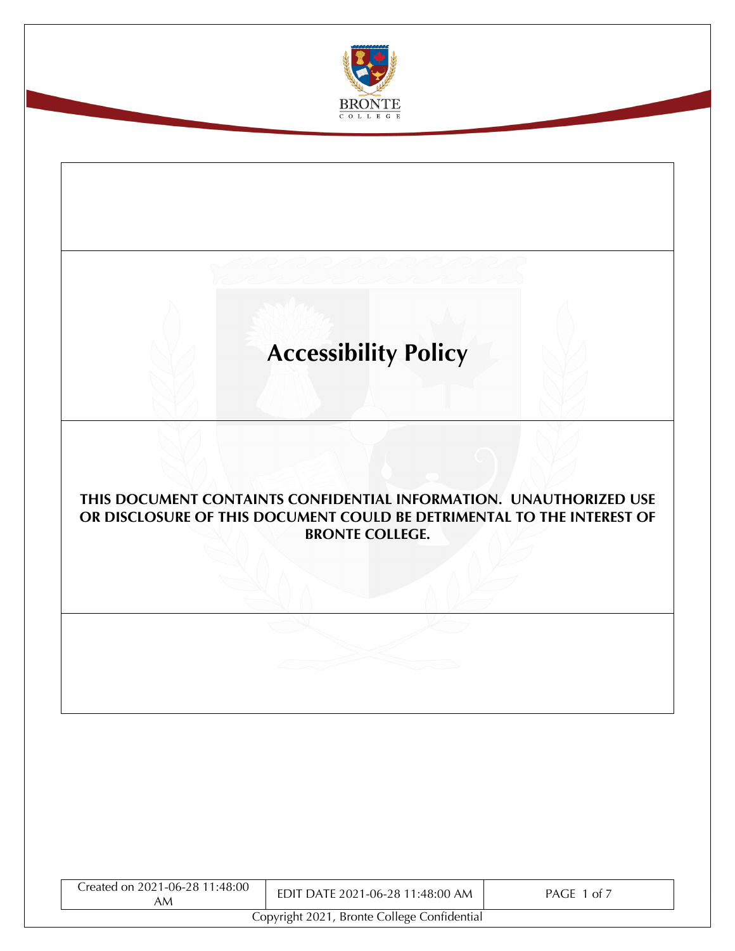

# **Accessibility Policy**

## **THIS DOCUMENT CONTAINTS CONFIDENTIAL INFORMATION. UNAUTHORIZED USE OR DISCLOSURE OF THIS DOCUMENT COULD BE DETRIMENTAL TO THE INTEREST OF BRONTE COLLEGE.**

| Created on 2021-06-28 11:48:00<br>AM        | EDIT DATE 2021-06-28 11:48:00 AM | PAGE 1 of 7 |  |
|---------------------------------------------|----------------------------------|-------------|--|
| Copyright 2021, Bronte College Confidential |                                  |             |  |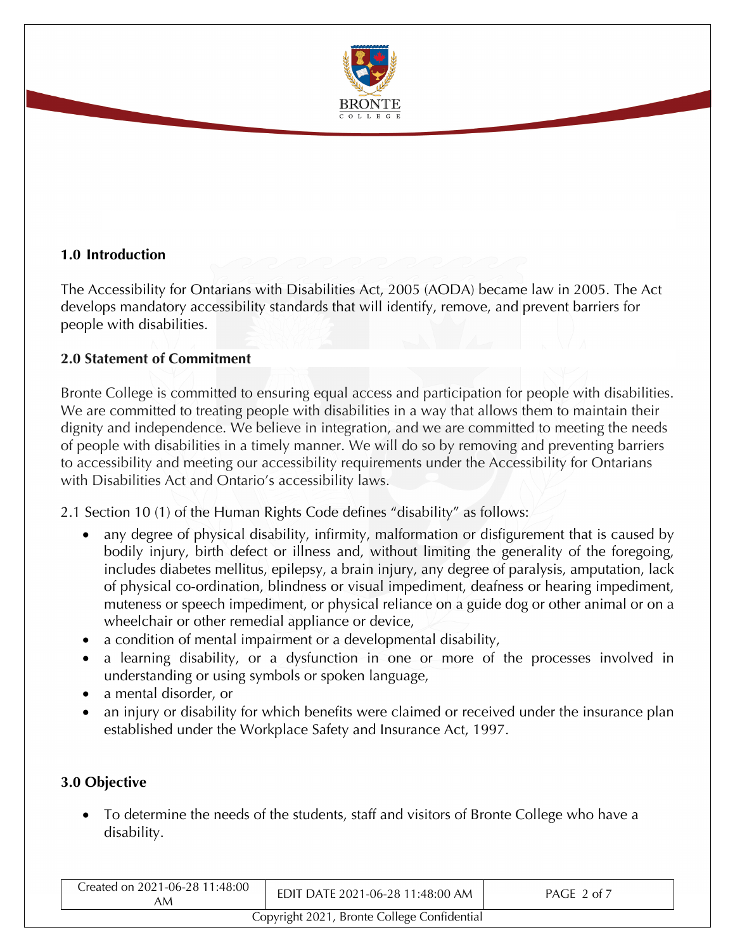

## **1.0 Introduction**

The Accessibility for Ontarians with Disabilities Act, 2005 (AODA) became law in 2005. The Act develops mandatory accessibility standards that will identify, remove, and prevent barriers for people with disabilities.

#### **2.0 Statement of Commitment**

Bronte College is committed to ensuring equal access and participation for people with disabilities. We are committed to treating people with disabilities in a way that allows them to maintain their dignity and independence. We believe in integration, and we are committed to meeting the needs of people with disabilities in a timely manner. We will do so by removing and preventing barriers to accessibility and meeting our accessibility requirements under the Accessibility for Ontarians with Disabilities Act and Ontario's accessibility laws.

2.1 Section 10 (1) of the Human Rights Code defines "disability" as follows:

- any degree of physical disability, infirmity, malformation or disfigurement that is caused by bodily injury, birth defect or illness and, without limiting the generality of the foregoing, includes diabetes mellitus, epilepsy, a brain injury, any degree of paralysis, amputation, lack of physical co-ordination, blindness or visual impediment, deafness or hearing impediment, muteness or speech impediment, or physical reliance on a guide dog or other animal or on a wheelchair or other remedial appliance or device,
- a condition of mental impairment or a developmental disability,
- a learning disability, or a dysfunction in one or more of the processes involved in understanding or using symbols or spoken language,
- a mental disorder, or
- an injury or disability for which benefits were claimed or received under the insurance plan established under the Workplace Safety and Insurance Act, 1997.

## **3.0 Objective**

• To determine the needs of the students, staff and visitors of Bronte College who have a disability.

| Created on 2021-06-28 11:48:00<br>AM        | EDIT DATE 2021-06-28 11:48:00 AM | PAGE 2 of 7 |
|---------------------------------------------|----------------------------------|-------------|
| Copyright 2021, Bronte College Confidential |                                  |             |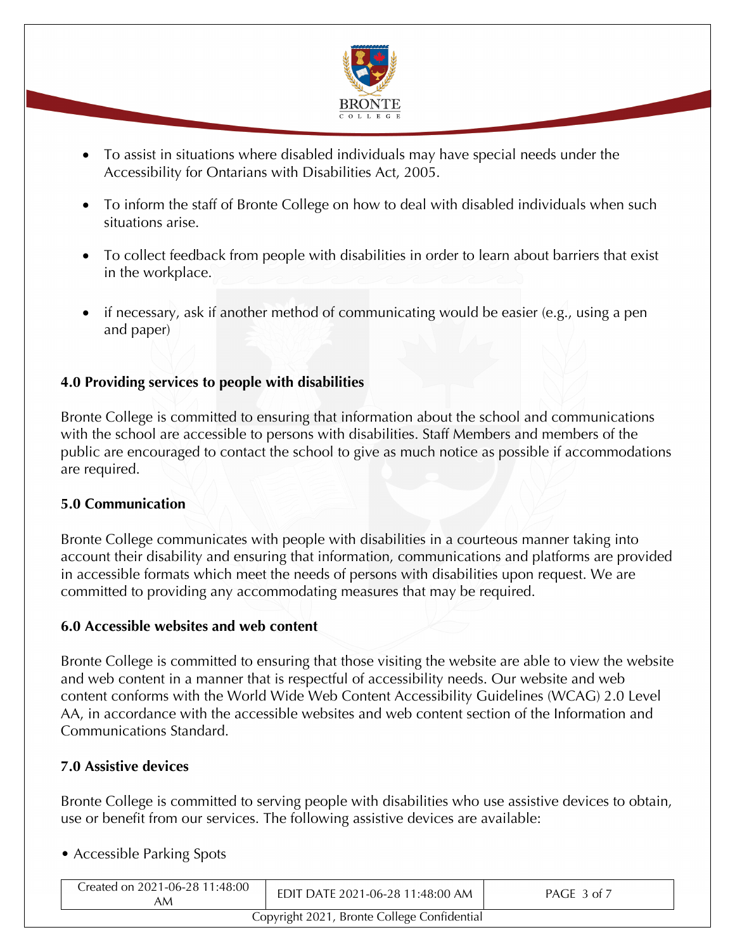

- To assist in situations where disabled individuals may have special needs under the Accessibility for Ontarians with Disabilities Act, 2005.
- To inform the staff of Bronte College on how to deal with disabled individuals when such situations arise.
- To collect feedback from people with disabilities in order to learn about barriers that exist in the workplace.
- if necessary, ask if another method of communicating would be easier (e.g., using a pen and paper)

## **4.0 Providing services to people with disabilities**

Bronte College is committed to ensuring that information about the school and communications with the school are accessible to persons with disabilities. Staff Members and members of the public are encouraged to contact the school to give as much notice as possible if accommodations are required.

## **5.0 Communication**

Bronte College communicates with people with disabilities in a courteous manner taking into account their disability and ensuring that information, communications and platforms are provided in accessible formats which meet the needs of persons with disabilities upon request. We are committed to providing any accommodating measures that may be required.

## **6.0 Accessible websites and web content**

Bronte College is committed to ensuring that those visiting the website are able to view the website and web content in a manner that is respectful of accessibility needs. Our website and web content conforms with the World Wide Web Content Accessibility Guidelines (WCAG) 2.0 Level AA, in accordance with the accessible websites and web content section of the Information and Communications Standard.

## **7.0 Assistive devices**

Bronte College is committed to serving people with disabilities who use assistive devices to obtain, use or benefit from our services. The following assistive devices are available:

## • Accessible Parking Spots

| Created on 2021-06-28 11:48:00<br>AM        | EDIT DATE 2021-06-28 11:48:00 AM | PAGE 3 of 7 |
|---------------------------------------------|----------------------------------|-------------|
| Copyright 2021, Bronte College Confidential |                                  |             |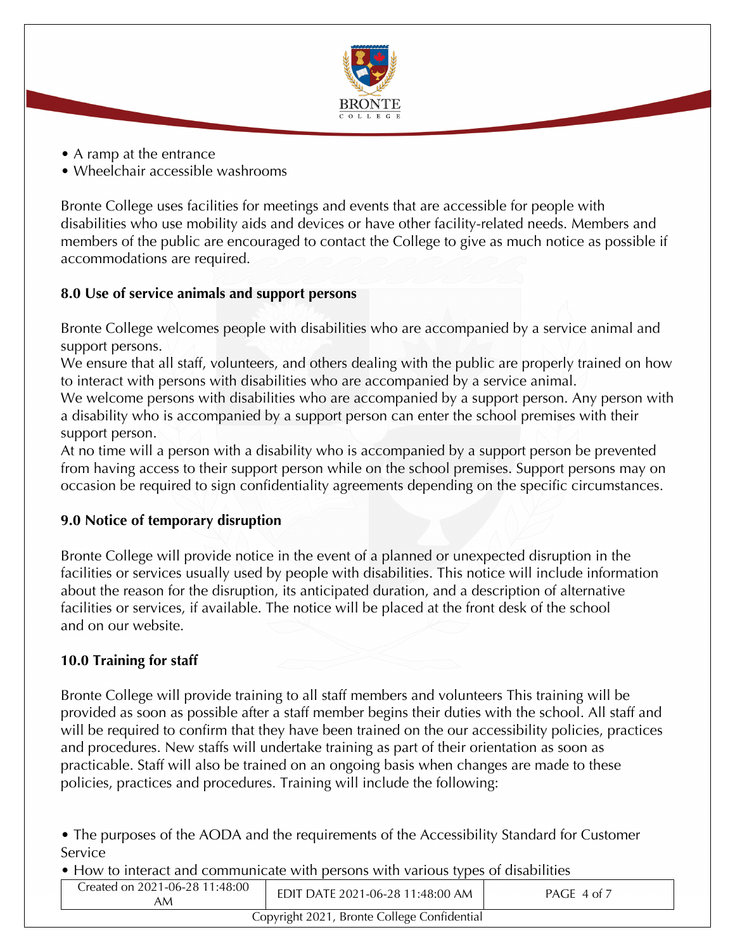

- A ramp at the entrance
- Wheelchair accessible washrooms

Bronte College uses facilities for meetings and events that are accessible for people with disabilities who use mobility aids and devices or have other facility-related needs. Members and members of the public are encouraged to contact the College to give as much notice as possible if accommodations are required.

## **8.0 Use of service animals and support persons**

Bronte College welcomes people with disabilities who are accompanied by a service animal and support persons.

We ensure that all staff, volunteers, and others dealing with the public are properly trained on how to interact with persons with disabilities who are accompanied by a service animal.

We welcome persons with disabilities who are accompanied by a support person. Any person with a disability who is accompanied by a support person can enter the school premises with their support person.

At no time will a person with a disability who is accompanied by a support person be prevented from having access to their support person while on the school premises. Support persons may on occasion be required to sign confidentiality agreements depending on the specific circumstances.

## **9.0 Notice of temporary disruption**

Bronte College will provide notice in the event of a planned or unexpected disruption in the facilities or services usually used by people with disabilities. This notice will include information about the reason for the disruption, its anticipated duration, and a description of alternative facilities or services, if available. The notice will be placed at the front desk of the school and on our website.

## **10.0 Training for staff**

Bronte College will provide training to all staff members and volunteers This training will be provided as soon as possible after a staff member begins their duties with the school. All staff and will be required to confirm that they have been trained on the our accessibility policies, practices and procedures. New staffs will undertake training as part of their orientation as soon as practicable. Staff will also be trained on an ongoing basis when changes are made to these policies, practices and procedures. Training will include the following:

• The purposes of the AODA and the requirements of the Accessibility Standard for Customer **Service** 

• How to interact and communicate with persons with various types of disabilities

| Created on 2021-06-28 11:48:00<br>AΜ | EDIT DATE 2021-06-28 11:48:00 AM            | PAGE 4 of 7 |
|--------------------------------------|---------------------------------------------|-------------|
|                                      | Copyright 2021, Bronte College Confidential |             |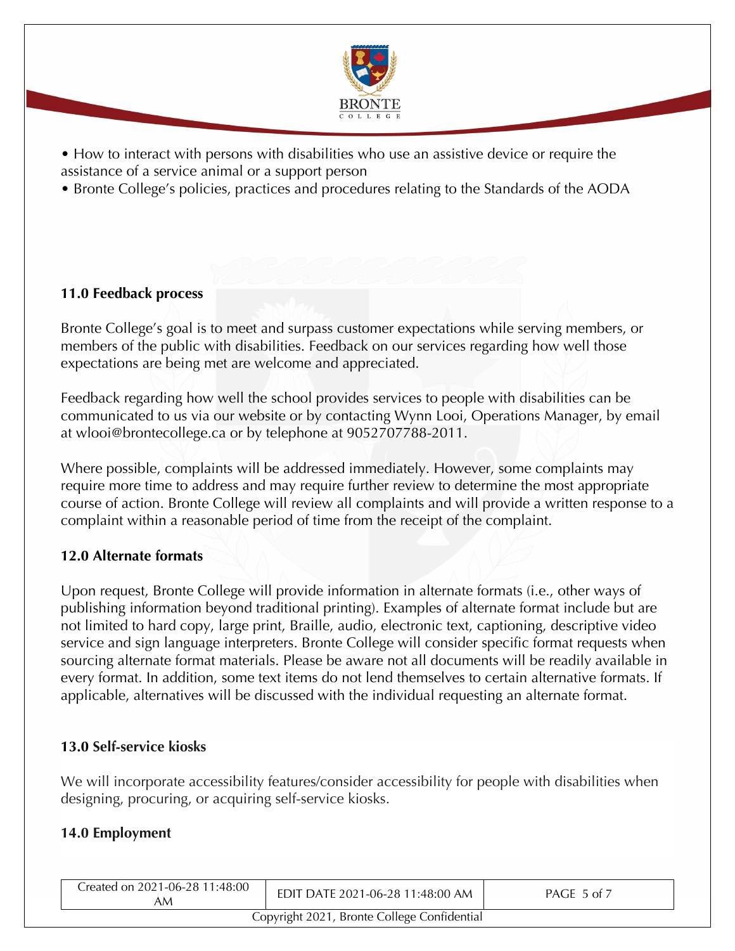

• How to interact with persons with disabilities who use an assistive device or require the assistance of a service animal or a support person

• Bronte College's policies, practices and procedures relating to the Standards of the AODA

## **11.0 Feedback process**

Bronte College's goal is to meet and surpass customer expectations while serving members, or members of the public with disabilities. Feedback on our services regarding how well those expectations are being met are welcome and appreciated.

Feedback regarding how well the school provides services to people with disabilities can be communicated to us via our website or by contacting Wynn Looi, Operations Manager, by email at wlooi@brontecollege.ca or by telephone at 9052707788-2011.

Where possible, complaints will be addressed immediately. However, some complaints may require more time to address and may require further review to determine the most appropriate course of action. Bronte College will review all complaints and will provide a written response to a complaint within a reasonable period of time from the receipt of the complaint.

## **12.0 Alternate formats**

Upon request, Bronte College will provide information in alternate formats (i.e., other ways of publishing information beyond traditional printing). Examples of alternate format include but are not limited to hard copy, large print, Braille, audio, electronic text, captioning, descriptive video service and sign language interpreters. Bronte College will consider specific format requests when sourcing alternate format materials. Please be aware not all documents will be readily available in every format. In addition, some text items do not lend themselves to certain alternative formats. If applicable, alternatives will be discussed with the individual requesting an alternate format.

## **13.0 Self-service kiosks**

We will incorporate accessibility features/consider accessibility for people with disabilities when designing, procuring, or acquiring self-service kiosks.

## **14.0 Employment**

| Created on 2021-06-28 11:48:00<br>AM        | EDIT DATE 2021-06-28 11:48:00 AM | PAGE 5 of 7 |
|---------------------------------------------|----------------------------------|-------------|
| Copyright 2021, Bronte College Confidential |                                  |             |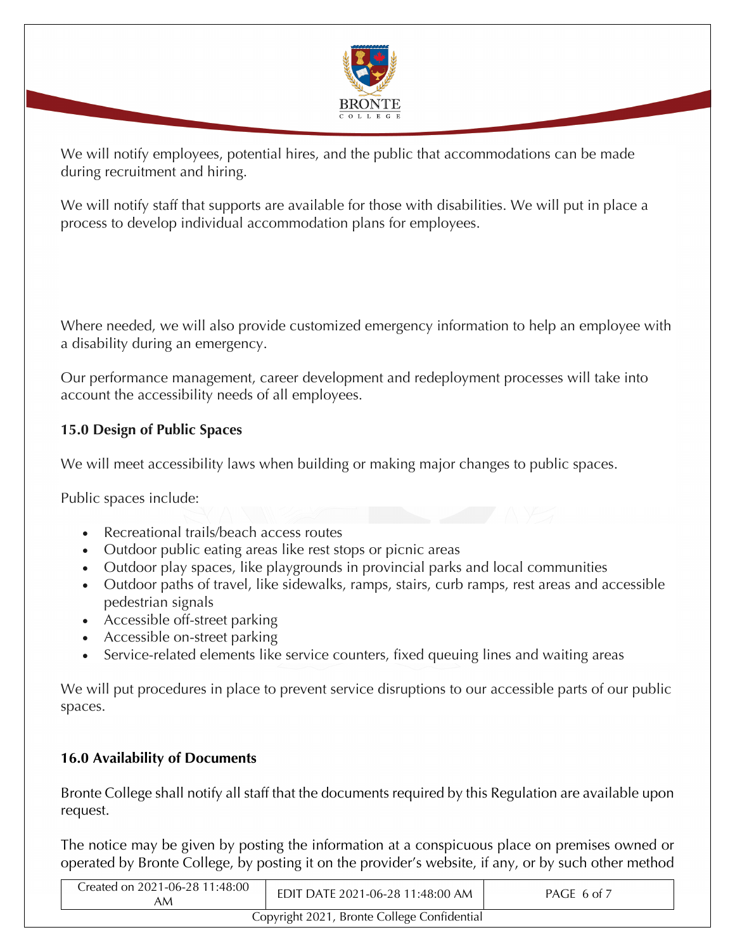

We will notify employees, potential hires, and the public that accommodations can be made during recruitment and hiring.

We will notify staff that supports are available for those with disabilities. We will put in place a process to develop individual accommodation plans for employees.

Where needed, we will also provide customized emergency information to help an employee with a disability during an emergency.

Our performance management, career development and redeployment processes will take into account the accessibility needs of all employees.

## **15.0 Design of Public Spaces**

We will meet accessibility laws when building or making major changes to public spaces.

Public spaces include:

- Recreational trails/beach access routes
- Outdoor public eating areas like rest stops or picnic areas
- Outdoor play spaces, like playgrounds in provincial parks and local communities
- Outdoor paths of travel, like sidewalks, ramps, stairs, curb ramps, rest areas and accessible pedestrian signals
- Accessible off-street parking
- Accessible on-street parking
- Service-related elements like service counters, fixed queuing lines and waiting areas

We will put procedures in place to prevent service disruptions to our accessible parts of our public spaces.

## **16.0 Availability of Documents**

Bronte College shall notify all staff that the documents required by this Regulation are available upon request.

The notice may be given by posting the information at a conspicuous place on premises owned or operated by Bronte College, by posting it on the provider's website, if any, or by such other method

| Created on 2021-06-28 11:48:00<br>AM        | EDIT DATE 2021-06-28 11:48:00 AM | PAGE 6 of 7 |
|---------------------------------------------|----------------------------------|-------------|
| Copyright 2021, Bronte College Confidential |                                  |             |